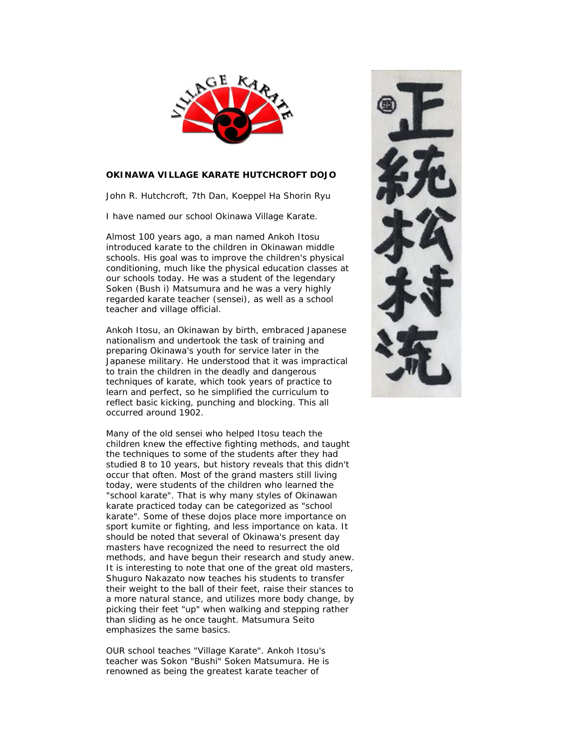

## **OKINAWA VILLAGE KARATE HUTCHCROFT DOJO**

John R. Hutchcroft, 7th Dan, Koeppel Ha Shorin Ryu

I have named our school Okinawa Village Karate.

Almost 100 years ago, a man named Ankoh Itosu introduced karate to the children in Okinawan middle schools. His goal was to improve the children's physical conditioning, much like the physical education classes at our schools today. He was a student of the legendary Soken (Bush i) Matsumura and he was a very highly regarded karate teacher (sensei), as well as a school teacher and village official.

Ankoh Itosu, an Okinawan by birth, embraced Japanese nationalism and undertook the task of training and preparing Okinawa's youth for service later in the Japanese military. He understood that it was impractical to train the children in the deadly and dangerous techniques of karate, which took years of practice to learn and perfect, so he simplified the curriculum to reflect basic kicking, punching and blocking. This all occurred around 1902.

Many of the old sensei who helped Itosu teach the children knew the effective fighting methods, and taught the techniques to some of the students after they had studied 8 to 10 years, but history reveals that this didn't occur that often. Most of the grand masters still living today, were students of the children who learned the "school karate". That is why many styles of Okinawan karate practiced today can be categorized as "school karate". Some of these dojos place more importance on sport kumite or fighting, and less importance on kata. It should be noted that several of Okinawa's present day masters have recognized the need to resurrect the old methods, and have begun their research and study anew. It is interesting to note that one of the great old masters, Shuguro Nakazato now teaches his students to transfer their weight to the ball of their feet, raise their stances to a more natural stance, and utilizes more body change, by picking their feet "up" when walking and stepping rather than sliding as he once taught. Matsumura Seito emphasizes the same basics.

OUR school teaches "Village Karate". Ankoh Itosu's teacher was Sokon "Bushi" Soken Matsumura. He is renowned as being the greatest karate teacher of

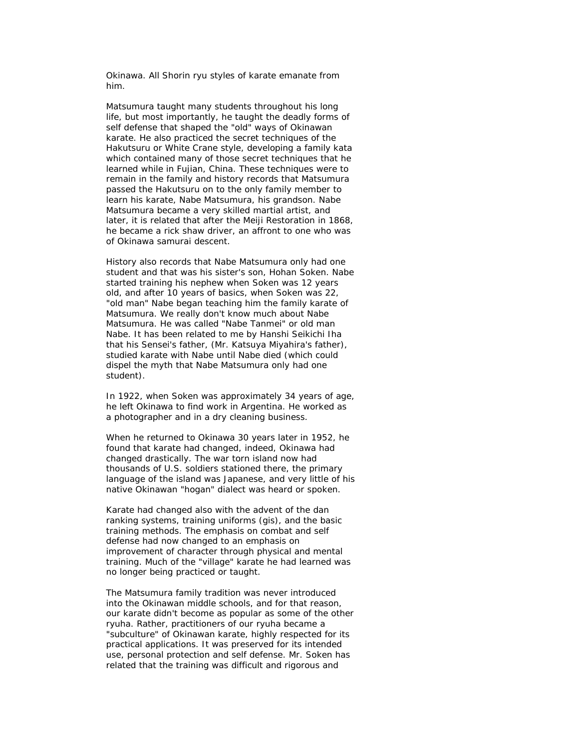Okinawa. All Shorin ryu styles of karate emanate from him.

Matsumura taught many students throughout his long life, but most importantly, he taught the deadly forms of self defense that shaped the "old" ways of Okinawan karate. He also practiced the secret techniques of the Hakutsuru or White Crane style, developing a family kata which contained many of those secret techniques that he learned while in Fujian, China. These techniques were to remain in the family and history records that Matsumura passed the Hakutsuru on to the only family member to learn his karate, Nabe Matsumura, his grandson. Nabe Matsumura became a very skilled martial artist, and later, it is related that after the Meiji Restoration in 1868, he became a rick shaw driver, an affront to one who was of Okinawa samurai descent.

History also records that Nabe Matsumura only had one student and that was his sister's son, Hohan Soken. Nabe started training his nephew when Soken was 12 years old, and after 10 years of basics, when Soken was 22, "old man" Nabe began teaching him the family karate of Matsumura. We really don't know much about Nabe Matsumura. He was called "Nabe Tanmei" or old man Nabe. It has been related to me by Hanshi Seikichi Iha that his Sensei's father, (Mr. Katsuya Miyahira's father), studied karate with Nabe until Nabe died (which could dispel the myth that Nabe Matsumura only had one student).

In 1922, when Soken was approximately 34 years of age, he left Okinawa to find work in Argentina. He worked as a photographer and in a dry cleaning business.

When he returned to Okinawa 30 years later in 1952, he found that karate had changed, indeed, Okinawa had changed drastically. The war torn island now had thousands of U.S. soldiers stationed there, the primary language of the island was Japanese, and very little of his native Okinawan "hogan" dialect was heard or spoken.

Karate had changed also with the advent of the dan ranking systems, training uniforms (gis), and the basic training methods. The emphasis on combat and self defense had now changed to an emphasis on improvement of character through physical and mental training. Much of the "village" karate he had learned was no longer being practiced or taught.

The Matsumura family tradition was never introduced into the Okinawan middle schools, and for that reason, our karate didn't become as popular as some of the other ryuha. Rather, practitioners of our ryuha became a "subculture" of Okinawan karate, highly respected for its practical applications. It was preserved for its intended use, personal protection and self defense. Mr. Soken has related that the training was difficult and rigorous and